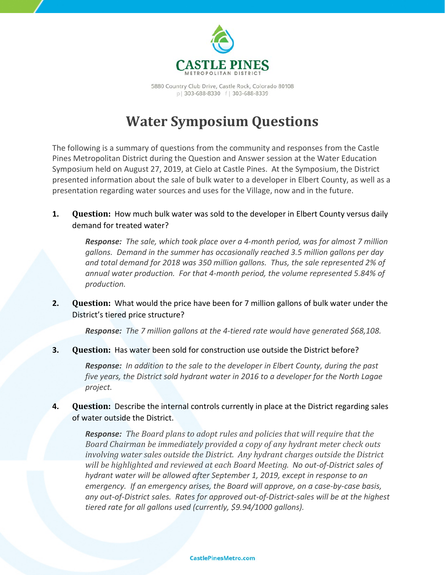

5880 Country Club Drive, Castle Rock, Colorado 80108 p | 303-688-8330 f | 303-688-8339

# **Water Symposium Questions**

The following is a summary of questions from the community and responses from the Castle Pines Metropolitan District during the Question and Answer session at the Water Education Symposium held on August 27, 2019, at Cielo at Castle Pines. At the Symposium, the District presented information about the sale of bulk water to a developer in Elbert County, as well as a presentation regarding water sources and uses for the Village, now and in the future.

**1. Question:** How much bulk water was sold to the developer in Elbert County versus daily demand for treated water?

*Response: The sale, which took place over a 4-month period, was for almost 7 million gallons. Demand in the summer has occasionally reached 3.5 million gallons per day and total demand for 2018 was 350 million gallons. Thus, the sale represented 2% of annual water production. For that 4-month period, the volume represented 5.84% of production.*

**2. Question:** What would the price have been for 7 million gallons of bulk water under the District's tiered price structure?

*Response: The 7 million gallons at the 4-tiered rate would have generated \$68,108.*

**3. Question:** Has water been sold for construction use outside the District before?

*Response: In addition to the sale to the developer in Elbert County, during the past five years, the District sold hydrant water in 2016 to a developer for the North Lagae project.*

**4. Question:** Describe the internal controls currently in place at the District regarding sales of water outside the District.

*Response: The Board plans to adopt rules and policies that will require that the Board Chairman be immediately provided a copy of any hydrant meter check outs involving water sales outside the District. Any hydrant charges outside the District will be highlighted and reviewed at each Board Meeting. No out-of-District sales of hydrant water will be allowed after September 1, 2019, except in response to an emergency. If an emergency arises, the Board will approve, on a case-by-case basis, any out-of-District sales. Rates for approved out-of-District-sales will be at the highest tiered rate for all gallons used (currently, \$9.94/1000 gallons).*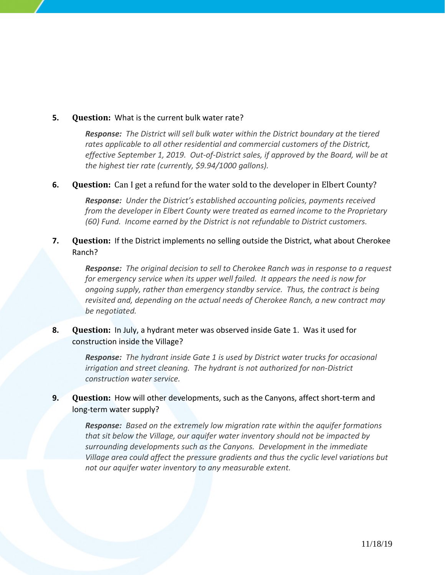#### **5. Question:** What is the current bulk water rate?

*Response: The District will sell bulk water within the District boundary at the tiered rates applicable to all other residential and commercial customers of the District, effective September 1, 2019. Out-of-District sales, if approved by the Board, will be at the highest tier rate (currently, \$9.94/1000 gallons).*

#### **6. Question:** Can I get a refund for the water sold to the developer in Elbert County?

*Response: Under the District's established accounting policies, payments received from the developer in Elbert County were treated as earned income to the Proprietary (60) Fund. Income earned by the District is not refundable to District customers.*

#### **7. Question:** If the District implements no selling outside the District, what about Cherokee Ranch?

*Response: The original decision to sell to Cherokee Ranch was in response to a request for emergency service when its upper well failed. It appears the need is now for ongoing supply, rather than emergency standby service. Thus, the contract is being revisited and, depending on the actual needs of Cherokee Ranch, a new contract may be negotiated.*

#### **8. Question:** In July, a hydrant meter was observed inside Gate 1. Was it used for construction inside the Village?

*Response: The hydrant inside Gate 1 is used by District water trucks for occasional irrigation and street cleaning. The hydrant is not authorized for non-District construction water service.*

# **9. Question:** How will other developments, such as the Canyons, affect short-term and long-term water supply?

*Response: Based on the extremely low migration rate within the aquifer formations that sit below the Village, our aquifer water inventory should not be impacted by surrounding developments such as the Canyons. Development in the immediate Village area could affect the pressure gradients and thus the cyclic level variations but not our aquifer water inventory to any measurable extent.*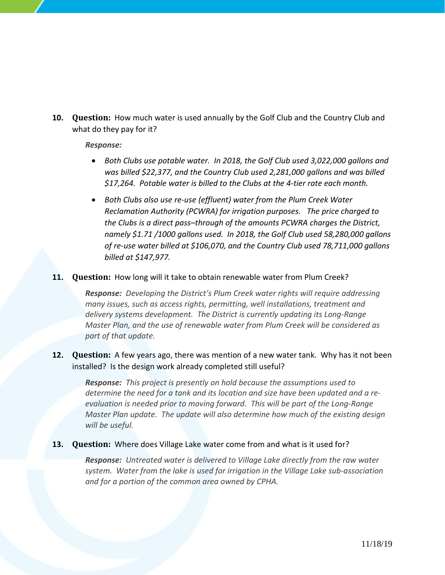**10. Question:** How much water is used annually by the Golf Club and the Country Club and what do they pay for it?

*Response:*

- *Both Clubs use potable water. In 2018, the Golf Club used 3,022,000 gallons and was billed \$22,377, and the Country Club used 2,281,000 gallons and was billed \$17,264. Potable water is billed to the Clubs at the 4-tier rate each month.*
- *Both Clubs also use re-use (effluent) water from the Plum Creek Water Reclamation Authority (PCWRA) for irrigation purposes. The price charged to the Clubs is a direct pass–through of the amounts PCWRA charges the District, namely \$1.71 /1000 gallons used. In 2018, the Golf Club used 58,280,000 gallons of re-use water billed at \$106,070, and the Country Club used 78,711,000 gallons billed at \$147,977.*

#### **11. Question:** How long will it take to obtain renewable water from Plum Creek?

*Response: Developing the District's Plum Creek water rights will require addressing many issues, such as access rights, permitting, well installations, treatment and delivery systems development. The District is currently updating its Long-Range Master Plan, and the use of renewable water from Plum Creek will be considered as part of that update.*

#### **12. Question:** A few years ago, there was mention of a new water tank. Why has it not been installed? Is the design work already completed still useful?

*Response: This project is presently on hold because the assumptions used to determine the need for a tank and its location and size have been updated and a reevaluation is needed prior to moving forward. This will be part of the Long-Range Master Plan update. The update will also determine how much of the existing design will be useful.*

#### **13. Question:** Where does Village Lake water come from and what is it used for?

*Response: Untreated water is delivered to Village Lake directly from the raw water system. Water from the lake is used for irrigation in the Village Lake sub-association and for a portion of the common area owned by CPHA.*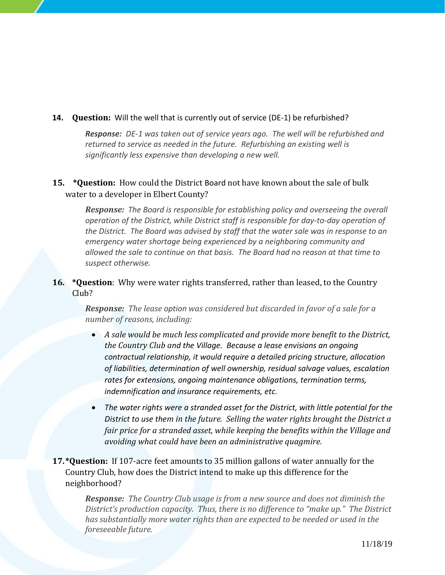#### **14. Question:** Will the well that is currently out of service (DE-1) be refurbished?

*Response: DE-1 was taken out of service years ago. The well will be refurbished and returned to service as needed in the future. Refurbishing an existing well is significantly less expensive than developing a new well.*

# **15. \*Question:** How could the District Board not have known about the sale of bulk water to a developer in Elbert County?

*Response: The Board is responsible for establishing policy and overseeing the overall operation of the District, while District staff is responsible for day-to-day operation of the District. The Board was advised by staff that the water sale was in response to an emergency water shortage being experienced by a neighboring community and allowed the sale to continue on that basis. The Board had no reason at that time to suspect otherwise.*

# **16. \*Question**: Why were water rights transferred, rather than leased, to the Country Club?

*Response: The lease option was considered but discarded in favor of a sale for a number of reasons, including:*

- *A sale would be much less complicated and provide more benefit to the District, the Country Club and the Village. Because a lease envisions an ongoing contractual relationship, it would require a detailed pricing structure, allocation of liabilities, determination of well ownership, residual salvage values, escalation rates for extensions, ongoing maintenance obligations, termination terms, indemnification and insurance requirements, etc.*
- *The water rights were a stranded asset for the District, with little potential for the District to use them in the future. Selling the water rights brought the District a fair price for a stranded asset, while keeping the benefits within the Village and avoiding what could have been an administrative quagmire.*
- **17.\*Question:** If 107-acre feet amounts to 35 million gallons of water annually for the Country Club, how does the District intend to make up this difference for the neighborhood?

*Response: The Country Club usage is from a new source and does not diminish the District's production capacity. Thus, there is no difference to "make up." The District has substantially more water rights than are expected to be needed or used in the foreseeable future.*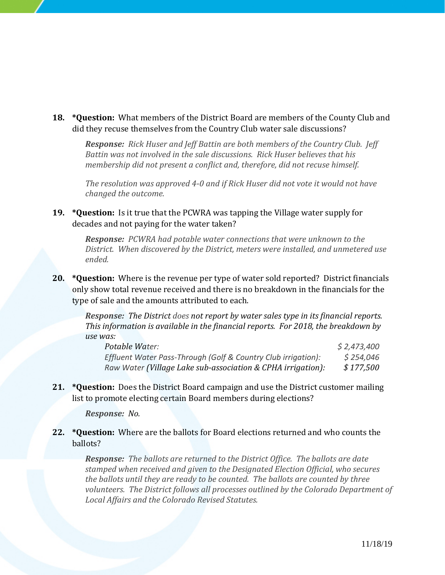**18. \*Question:** What members of the District Board are members of the County Club and did they recuse themselves from the Country Club water sale discussions?

*Response: Rick Huser and Jeff Battin are both members of the Country Club. Jeff Battin was not involved in the sale discussions. Rick Huser believes that his membership did not present a conflict and, therefore, did not recuse himself.*

*The resolution was approved 4-0 and if Rick Huser did not vote it would not have changed the outcome.*

**19. \*Question:** Is it true that the PCWRA was tapping the Village water supply for decades and not paying for the water taken?

> *Response: PCWRA had potable water connections that were unknown to the District. When discovered by the District, meters were installed, and unmetered use ended.*

**20. \*Question:** Where is the revenue per type of water sold reported? District financials only show total revenue received and there is no breakdown in the financials for the type of sale and the amounts attributed to each.

*Response: The District does not report by water sales type in its financial reports. This information is available in the financial reports. For 2018, the breakdown by use was:*

| Potable Water:                                                | \$2,473,400 |
|---------------------------------------------------------------|-------------|
| Effluent Water Pass-Through (Golf & Country Club irrigation): | \$254,046   |
| Raw Water (Village Lake sub-association & CPHA irrigation):   | \$177,500   |

**21. \*Question:** Does the District Board campaign and use the District customer mailing list to promote electing certain Board members during elections?

*Response: No.*

**22. \*Question:** Where are the ballots for Board elections returned and who counts the ballots?

*Response: The ballots are returned to the District Office. The ballots are date stamped when received and given to the Designated Election Official, who secures the ballots until they are ready to be counted. The ballots are counted by three volunteers. The District follows all processes outlined by the Colorado Department of Local Affairs and the Colorado Revised Statutes.*